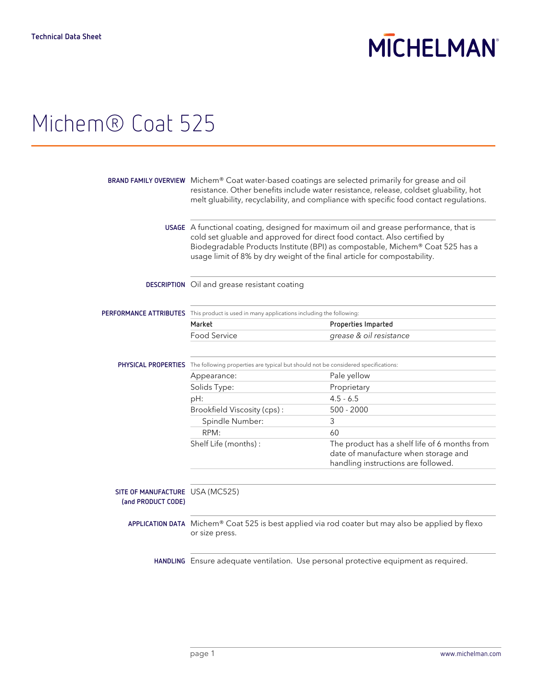# **MICHELMAN**

## Michem® Coat 525

|                                                       | BRAND FAMILY OVERVIEW Michem® Coat water-based coatings are selected primarily for grease and oil<br>resistance. Other benefits include water resistance, release, coldset gluability, hot<br>melt gluability, recyclability, and compliance with specific food contact regulations.                                          |                                                                                                                              |
|-------------------------------------------------------|-------------------------------------------------------------------------------------------------------------------------------------------------------------------------------------------------------------------------------------------------------------------------------------------------------------------------------|------------------------------------------------------------------------------------------------------------------------------|
|                                                       | USAGE A functional coating, designed for maximum oil and grease performance, that is<br>cold set gluable and approved for direct food contact. Also certified by<br>Biodegradable Products Institute (BPI) as compostable, Michem® Coat 525 has a<br>usage limit of 8% by dry weight of the final article for compostability. |                                                                                                                              |
|                                                       | DESCRIPTION Oil and grease resistant coating                                                                                                                                                                                                                                                                                  |                                                                                                                              |
|                                                       | PERFORMANCE ATTRIBUTES This product is used in many applications including the following:                                                                                                                                                                                                                                     |                                                                                                                              |
|                                                       | Market                                                                                                                                                                                                                                                                                                                        | Properties Imparted                                                                                                          |
|                                                       | <b>Food Service</b>                                                                                                                                                                                                                                                                                                           | grease & oil resistance                                                                                                      |
|                                                       | PHYSICAL PROPERTIES The following properties are typical but should not be considered specifications:                                                                                                                                                                                                                         |                                                                                                                              |
|                                                       | Appearance:                                                                                                                                                                                                                                                                                                                   | Pale yellow                                                                                                                  |
|                                                       | Solids Type:                                                                                                                                                                                                                                                                                                                  | Proprietary                                                                                                                  |
|                                                       | pH:                                                                                                                                                                                                                                                                                                                           | $4.5 - 6.5$                                                                                                                  |
|                                                       | Brookfield Viscosity (cps):                                                                                                                                                                                                                                                                                                   | $500 - 2000$                                                                                                                 |
|                                                       | Spindle Number:                                                                                                                                                                                                                                                                                                               | 3                                                                                                                            |
|                                                       | RPM:                                                                                                                                                                                                                                                                                                                          | 60                                                                                                                           |
|                                                       | Shelf Life (months):                                                                                                                                                                                                                                                                                                          | The product has a shelf life of 6 months from<br>date of manufacture when storage and<br>handling instructions are followed. |
| SITE OF MANUFACTURE USA (MC525)<br>(and PRODUCT CODE) |                                                                                                                                                                                                                                                                                                                               |                                                                                                                              |
|                                                       | APPLICATION DATA Michem® Coat 525 is best applied via rod coater but may also be applied by flexo<br>or size press.                                                                                                                                                                                                           |                                                                                                                              |
|                                                       |                                                                                                                                                                                                                                                                                                                               | HANDLING Ensure adequate ventilation. Use personal protective equipment as required.                                         |